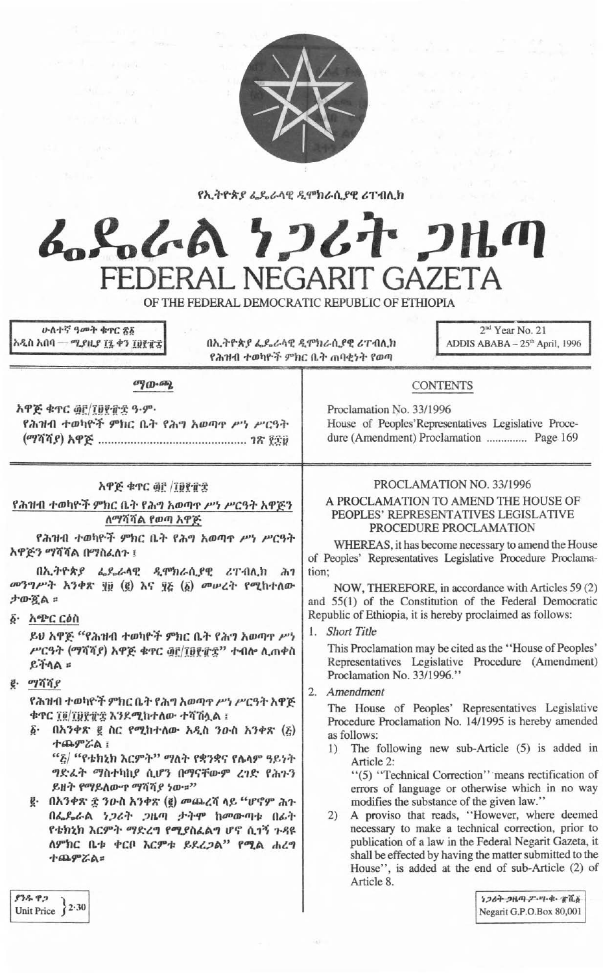

የኢትዮጵያ ፌዴራላዊ ዲሞክራሲያዊ ሪፐብሊክ

# んとんへ ケンムナ コルの FEDERAL NEGARIT GAZETA

OF THE FEDERAL DEMOCRATIC REPUBLIC OF ETHIOPIA

ሁለተኛ ዓመት ቁዋር ፳፩ አዲስ አበባ — ሚያዚያ ፲፯ ቀን ፲፱፻፹፰

በኢትዮጵያ ፌዴራላዊ ዲሞክራሲያዊ ሪፐብሊክ የሕዝብ ተወካዮች ምክር ቤት ጠባቂነት የወጣ

2<sup>nd</sup> Year No. 21 ADDIS ABABA - 25th April, 1996

### ுறு நை

አዋጅ ቁጥር ፴፫/፲፱፻፹፰ ዓ.ም. የሕዝብ ተወካዮች ምክር ቤት የሕግ አወጣዋ ሥነ ሥርዓት 

#### አዋጅ ቁጥር ፴፫ /፲፱፻፹፰

የሕዝብ ተወካዮች ምክር ቤት የሕግ አወጣዋ ሥነ ሥርዓት አዋጅን ለማሻሻል የወጣ አዋጅ

የሕዝብ ተወካዮች ምክር ቤት የሕግ አወጣዋ ሥነ ሥርዓት አዋጅን ማሻሻል በማስፈለጉ ፣

በኢትዮጵያ ፌዴራሳዊ ዲሞክራሲያዊ ሪፐብሊክ  $dh7$ መንግሥት አንቀጽ ነው (፪) እና ፶፩ (፩) መሠረት የሚከተለው ታውጇል።

፩· አጭር ርዕስ

ይሀ አዋጅ "የሕዝብ ተወካዮች ምክር ቤት የሕግ አወጣዋ ሥነ ሥርዓት (ማሻሻያ) አዋጅ ቁጥር ፴፫/፲፱፻፹፰'' ተብሎ ሲጠቀስ ይችላል $=$ 

 $e.$   $q\pi q$ 

የሕዝብ ተወካዮች ምክር ቤት የሕግ አወጣዋ ሥነ ሥርዓት አዋጅ ቁዋር ፲፬/፲፱፻፹፰ እንደሚከተለው ተሻሽሏል ፤

፩· በአንቀጽ ፪ ስር የሚከተለው አዲስ ንዑስ አንቀጽ (¿) ተጨምሯል ፤

"፩/ "የቴክኒክ እርምት" ማለት የቋንቋና የሌላም ዓይነት ግድፊት ማስተካከያ ሲሆን በማናቸውም ረገድ የሕጉን ይዘት የማይለውዋ ማሻሻያ ነው።"

g. በአንቀጽ ፰ ንዑስ አንቀጽ (g) መጨረሻ ላይ "ሆኖም ሕጉ በፌዴራል ነጋሪት ጋዜጣ ታትሞ ከመውጣቱ በፊት የቴክኒክ እርምት ማድረግ የሚያስፈልግ ሆኖ ሲገኝ ጉዳዩ ለምክር ቤቱ ቀርቦ እርምቱ ይደረጋል" የሚል ሐረግ ተጨምሯል።

#### PROCLAMATION NO. 33/1996

House of Peoples'Representatives Legislative Procedure (Amendment) Proclamation ............... Page 169

**CONTENTS** 

Proclamation No. 33/1996

### A PROCLAMATION TO AMEND THE HOUSE OF PEOPLES' REPRESENTATIVES LEGISLATIVE PROCEDURE PROCLAMATION

WHEREAS, it has become necessary to amend the House of Peoples' Representatives Legislative Procedure Proclamation:

NOW, THEREFORE, in accordance with Articles 59 (2) and 55(1) of the Constitution of the Federal Democratic Republic of Ethiopia, it is hereby proclaimed as follows:

1. Short Title

This Proclamation may be cited as the "House of Peoples" Representatives Legislative Procedure (Amendment) Proclamation No. 33/1996."

2. Amendment

The House of Peoples' Representatives Legislative Procedure Proclamation No. 14/1995 is hereby amended as follows:

1) The following new sub-Article (5) is added in Article 2: "(5) "Technical Correction" means rectification of

errors of language or otherwise which in no way modifies the substance of the given law."

2) A proviso that reads, "However, where deemed necessary to make a technical correction, prior to publication of a law in the Federal Negarit Gazeta, it shall be effected by having the matter submitted to the House", is added at the end of sub-Article (2) of Article 8.

83892 Unit Price  $\}$  2.30